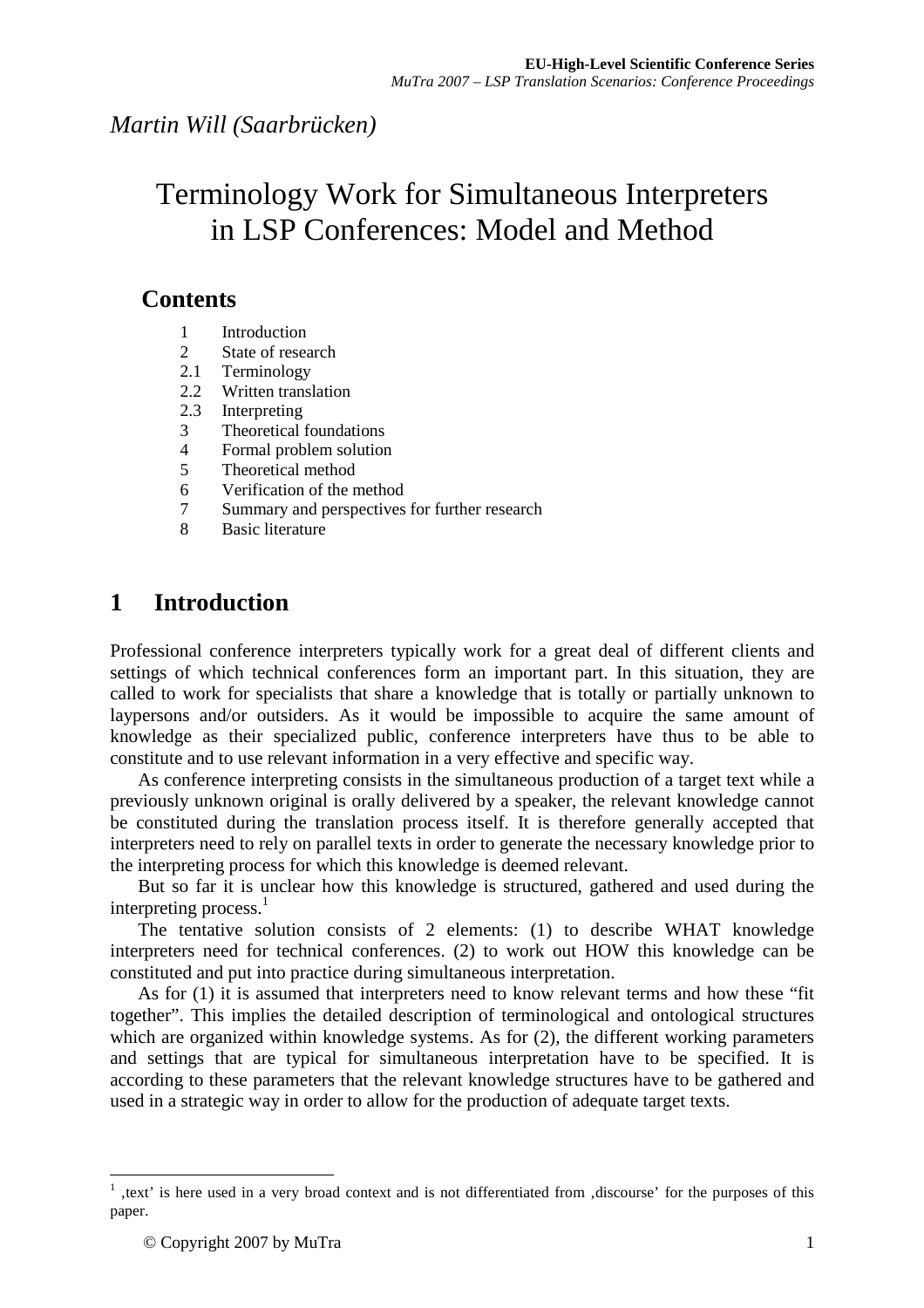# Terminology Work for Simultaneous Interpreters in LSP Conferences: Model and Method

# **Contents**

- 1 Introduction<br>2 State of resear
- State of research
- 2.1 Terminology
- 2.2 Written translation
- 2.3 Interpreting
- 3 Theoretical foundations
- 4 Formal problem solution<br>5 Theoretical method
- 5 Theoretical method
- 6 Verification of the method
- 7 Summary and perspectives for further research
- 8 Basic literature

# **1 Introduction**

Professional conference interpreters typically work for a great deal of different clients and settings of which technical conferences form an important part. In this situation, they are called to work for specialists that share a knowledge that is totally or partially unknown to laypersons and/or outsiders. As it would be impossible to acquire the same amount of knowledge as their specialized public, conference interpreters have thus to be able to constitute and to use relevant information in a very effective and specific way.

As conference interpreting consists in the simultaneous production of a target text while a previously unknown original is orally delivered by a speaker, the relevant knowledge cannot be constituted during the translation process itself. It is therefore generally accepted that interpreters need to rely on parallel texts in order to generate the necessary knowledge prior to the interpreting process for which this knowledge is deemed relevant.

But so far it is unclear how this knowledge is structured, gathered and used during the interpreting process.<sup>1</sup>

The tentative solution consists of 2 elements: (1) to describe WHAT knowledge interpreters need for technical conferences. (2) to work out HOW this knowledge can be constituted and put into practice during simultaneous interpretation.

As for (1) it is assumed that interpreters need to know relevant terms and how these "fit together". This implies the detailed description of terminological and ontological structures which are organized within knowledge systems. As for  $(2)$ , the different working parameters and settings that are typical for simultaneous interpretation have to be specified. It is according to these parameters that the relevant knowledge structures have to be gathered and used in a strategic way in order to allow for the production of adequate target texts.

 $\overline{a}$ 

<sup>&</sup>lt;sup>1</sup>, text' is here used in a very broad context and is not differentiated from , discourse' for the purposes of this paper.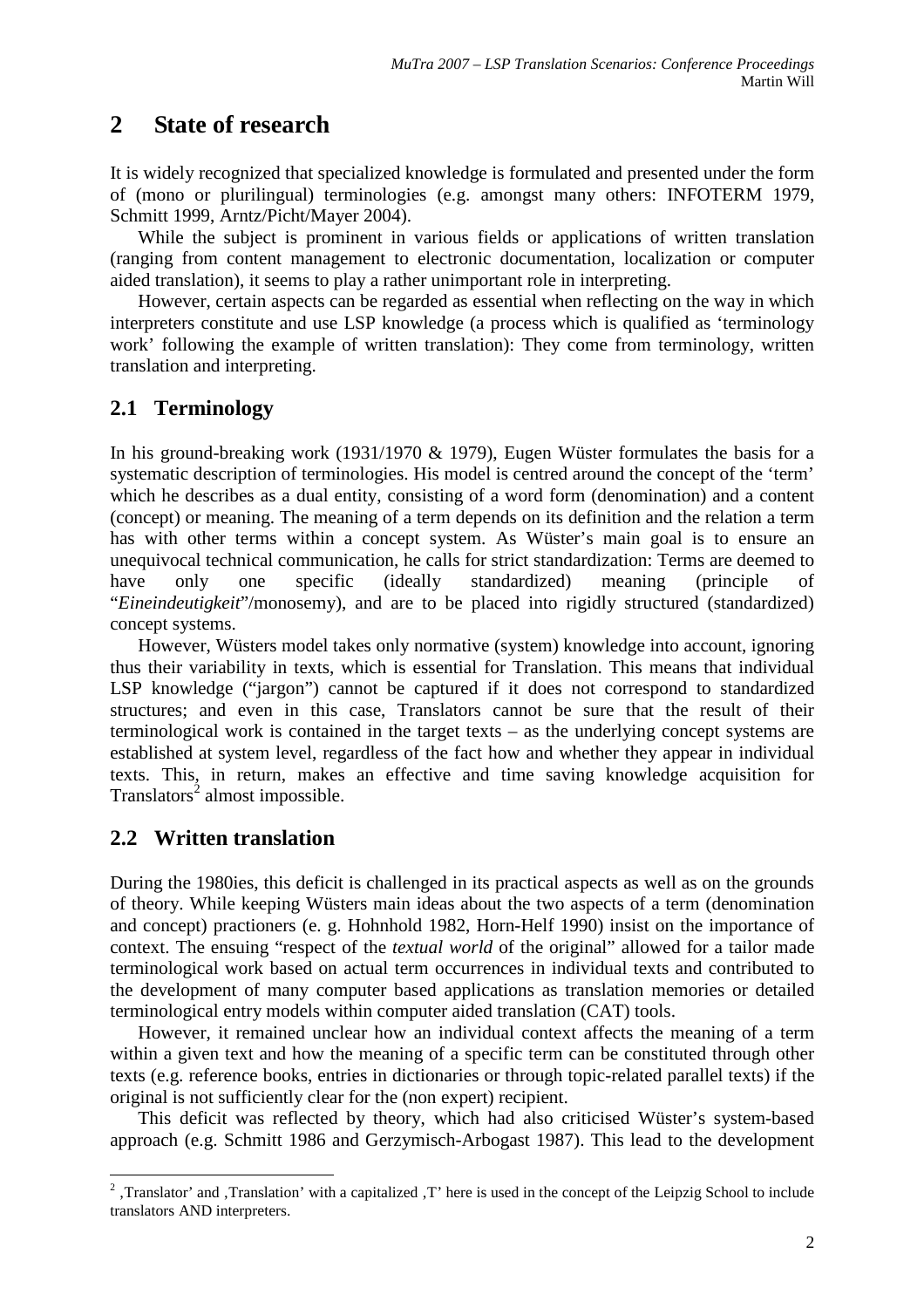# **2 State of research**

It is widely recognized that specialized knowledge is formulated and presented under the form of (mono or plurilingual) terminologies (e.g. amongst many others: INFOTERM 1979, Schmitt 1999, Arntz/Picht/Mayer 2004).

While the subject is prominent in various fields or applications of written translation (ranging from content management to electronic documentation, localization or computer aided translation), it seems to play a rather unimportant role in interpreting.

However, certain aspects can be regarded as essential when reflecting on the way in which interpreters constitute and use LSP knowledge (a process which is qualified as 'terminology work' following the example of written translation): They come from terminology, written translation and interpreting.

#### **2.1 Terminology**

In his ground-breaking work (1931/1970 & 1979), Eugen Wüster formulates the basis for a systematic description of terminologies. His model is centred around the concept of the 'term' which he describes as a dual entity, consisting of a word form (denomination) and a content (concept) or meaning. The meaning of a term depends on its definition and the relation a term has with other terms within a concept system. As Wüster's main goal is to ensure an unequivocal technical communication, he calls for strict standardization: Terms are deemed to have only one specific (ideally standardized) meaning (principle of "*Eineindeutigkeit*"/monosemy), and are to be placed into rigidly structured (standardized) concept systems.

However, Wüsters model takes only normative (system) knowledge into account, ignoring thus their variability in texts, which is essential for Translation. This means that individual LSP knowledge ("jargon") cannot be captured if it does not correspond to standardized structures; and even in this case, Translators cannot be sure that the result of their terminological work is contained in the target texts – as the underlying concept systems are established at system level, regardless of the fact how and whether they appear in individual texts. This, in return, makes an effective and time saving knowledge acquisition for Translators<sup>2</sup> almost impossible.

### **2.2 Written translation**

During the 1980ies, this deficit is challenged in its practical aspects as well as on the grounds of theory. While keeping Wüsters main ideas about the two aspects of a term (denomination and concept) practioners (e. g. Hohnhold 1982, Horn-Helf 1990) insist on the importance of context. The ensuing "respect of the *textual world* of the original" allowed for a tailor made terminological work based on actual term occurrences in individual texts and contributed to the development of many computer based applications as translation memories or detailed terminological entry models within computer aided translation (CAT) tools.

However, it remained unclear how an individual context affects the meaning of a term within a given text and how the meaning of a specific term can be constituted through other texts (e.g. reference books, entries in dictionaries or through topic-related parallel texts) if the original is not sufficiently clear for the (non expert) recipient.

This deficit was reflected by theory, which had also criticised Wüster's system-based approach (e.g. Schmitt 1986 and Gerzymisch-Arbogast 1987). This lead to the development

<sup>&</sup>lt;sup>2</sup>, Translator' and , Translation' with a capitalized , T' here is used in the concept of the Leipzig School to include translators AND interpreters.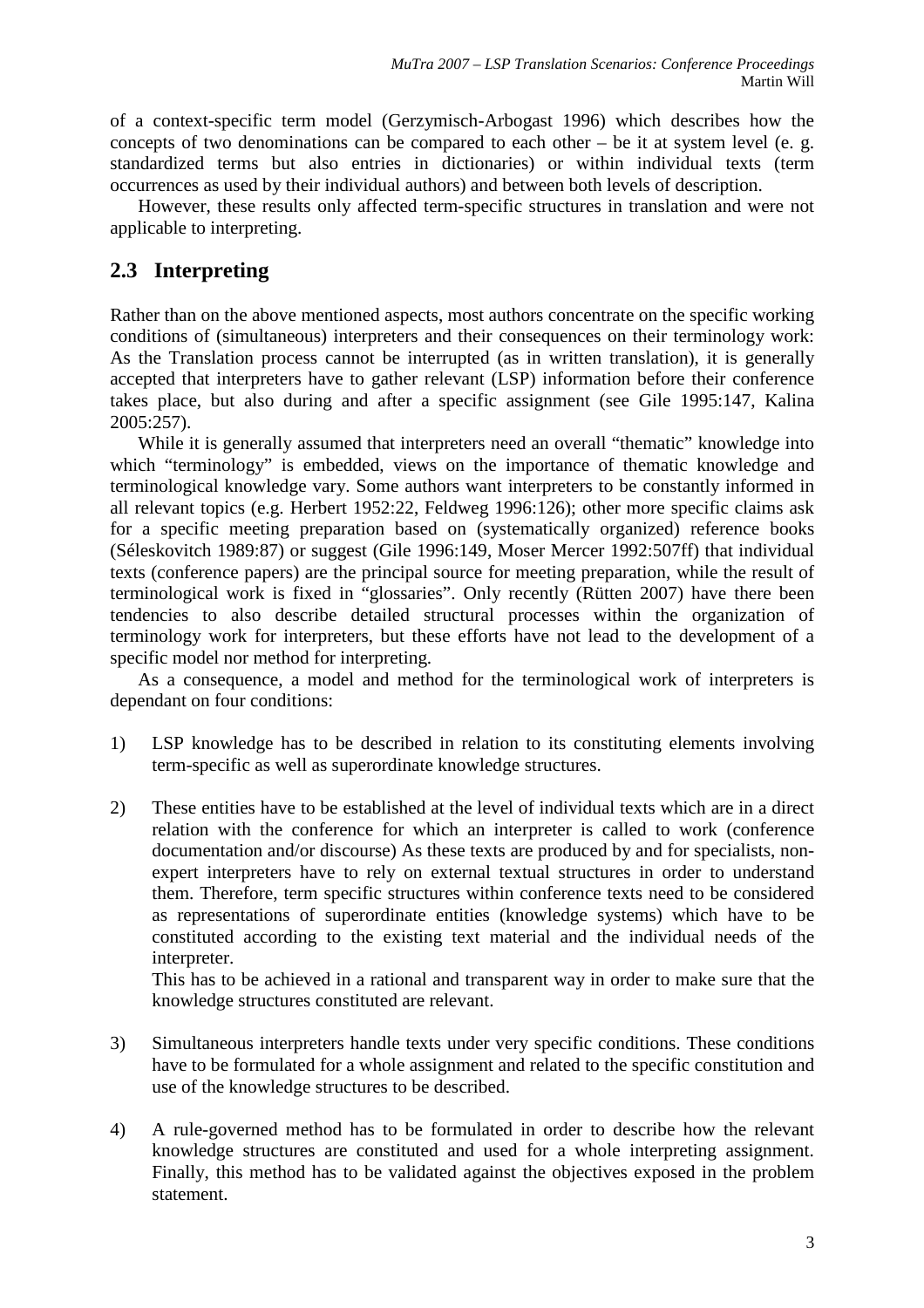of a context-specific term model (Gerzymisch-Arbogast 1996) which describes how the concepts of two denominations can be compared to each other – be it at system level (e. g. standardized terms but also entries in dictionaries) or within individual texts (term occurrences as used by their individual authors) and between both levels of description.

However, these results only affected term-specific structures in translation and were not applicable to interpreting.

### **2.3 Interpreting**

Rather than on the above mentioned aspects, most authors concentrate on the specific working conditions of (simultaneous) interpreters and their consequences on their terminology work: As the Translation process cannot be interrupted (as in written translation), it is generally accepted that interpreters have to gather relevant (LSP) information before their conference takes place, but also during and after a specific assignment (see Gile 1995:147, Kalina 2005:257).

While it is generally assumed that interpreters need an overall "thematic" knowledge into which "terminology" is embedded, views on the importance of thematic knowledge and terminological knowledge vary. Some authors want interpreters to be constantly informed in all relevant topics (e.g. Herbert 1952:22, Feldweg 1996:126); other more specific claims ask for a specific meeting preparation based on (systematically organized) reference books (Séleskovitch 1989:87) or suggest (Gile 1996:149, Moser Mercer 1992:507ff) that individual texts (conference papers) are the principal source for meeting preparation, while the result of terminological work is fixed in "glossaries". Only recently (Rütten 2007) have there been tendencies to also describe detailed structural processes within the organization of terminology work for interpreters, but these efforts have not lead to the development of a specific model nor method for interpreting.

As a consequence, a model and method for the terminological work of interpreters is dependant on four conditions:

- 1) LSP knowledge has to be described in relation to its constituting elements involving term-specific as well as superordinate knowledge structures.
- 2) These entities have to be established at the level of individual texts which are in a direct relation with the conference for which an interpreter is called to work (conference documentation and/or discourse) As these texts are produced by and for specialists, nonexpert interpreters have to rely on external textual structures in order to understand them. Therefore, term specific structures within conference texts need to be considered as representations of superordinate entities (knowledge systems) which have to be constituted according to the existing text material and the individual needs of the interpreter.

 This has to be achieved in a rational and transparent way in order to make sure that the knowledge structures constituted are relevant.

- 3) Simultaneous interpreters handle texts under very specific conditions. These conditions have to be formulated for a whole assignment and related to the specific constitution and use of the knowledge structures to be described.
- 4) A rule-governed method has to be formulated in order to describe how the relevant knowledge structures are constituted and used for a whole interpreting assignment. Finally, this method has to be validated against the objectives exposed in the problem statement.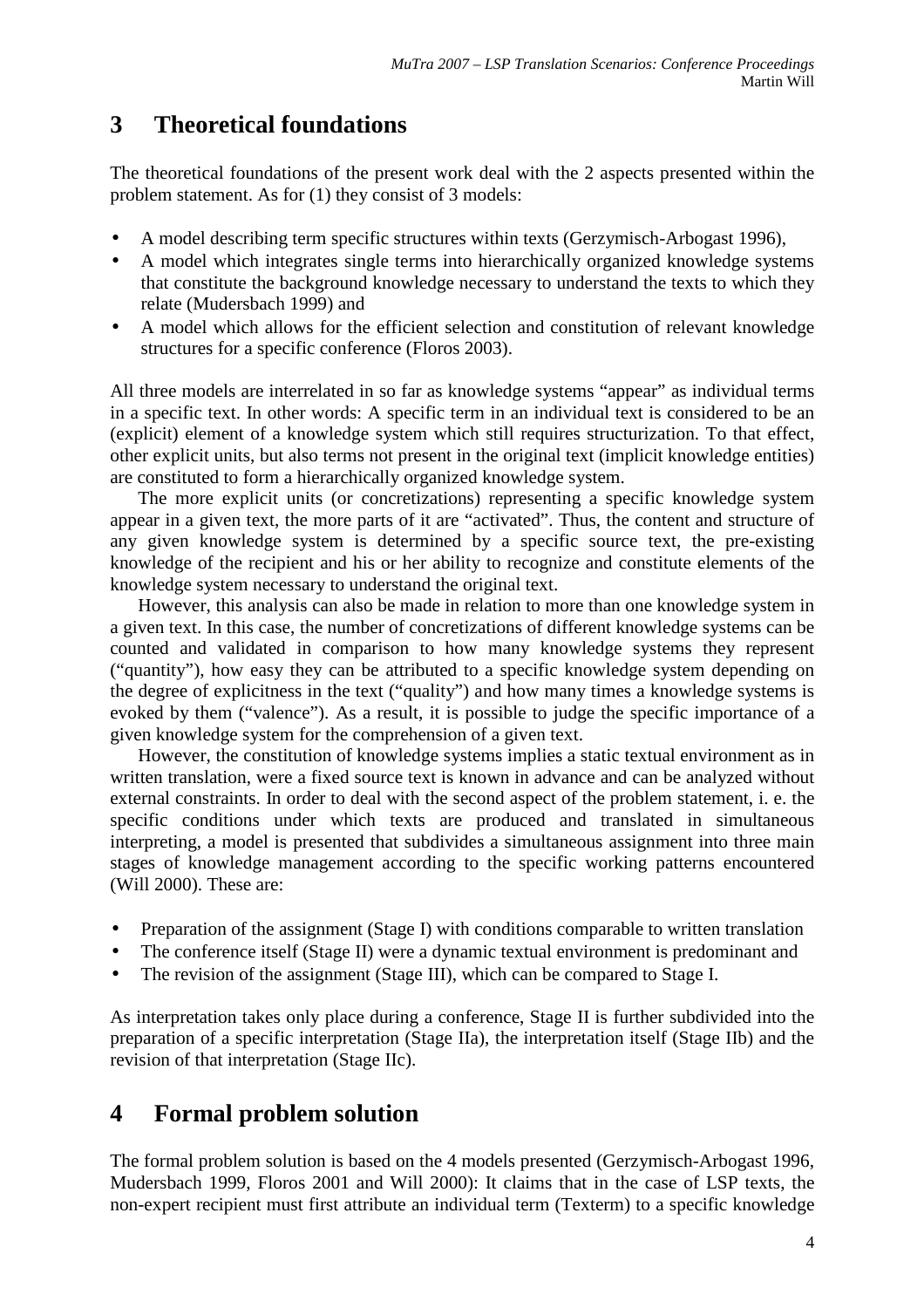# **3 Theoretical foundations**

The theoretical foundations of the present work deal with the 2 aspects presented within the problem statement. As for (1) they consist of 3 models:

- A model describing term specific structures within texts (Gerzymisch-Arbogast 1996),
- A model which integrates single terms into hierarchically organized knowledge systems that constitute the background knowledge necessary to understand the texts to which they relate (Mudersbach 1999) and
- A model which allows for the efficient selection and constitution of relevant knowledge structures for a specific conference (Floros 2003).

All three models are interrelated in so far as knowledge systems "appear" as individual terms in a specific text. In other words: A specific term in an individual text is considered to be an (explicit) element of a knowledge system which still requires structurization. To that effect, other explicit units, but also terms not present in the original text (implicit knowledge entities) are constituted to form a hierarchically organized knowledge system.

The more explicit units (or concretizations) representing a specific knowledge system appear in a given text, the more parts of it are "activated". Thus, the content and structure of any given knowledge system is determined by a specific source text, the pre-existing knowledge of the recipient and his or her ability to recognize and constitute elements of the knowledge system necessary to understand the original text.

However, this analysis can also be made in relation to more than one knowledge system in a given text. In this case, the number of concretizations of different knowledge systems can be counted and validated in comparison to how many knowledge systems they represent ("quantity"), how easy they can be attributed to a specific knowledge system depending on the degree of explicitness in the text ("quality") and how many times a knowledge systems is evoked by them ("valence"). As a result, it is possible to judge the specific importance of a given knowledge system for the comprehension of a given text.

However, the constitution of knowledge systems implies a static textual environment as in written translation, were a fixed source text is known in advance and can be analyzed without external constraints. In order to deal with the second aspect of the problem statement, i. e. the specific conditions under which texts are produced and translated in simultaneous interpreting, a model is presented that subdivides a simultaneous assignment into three main stages of knowledge management according to the specific working patterns encountered (Will 2000). These are:

- Preparation of the assignment (Stage I) with conditions comparable to written translation
- The conference itself (Stage II) were a dynamic textual environment is predominant and
- The revision of the assignment (Stage III), which can be compared to Stage I.

As interpretation takes only place during a conference, Stage II is further subdivided into the preparation of a specific interpretation (Stage IIa), the interpretation itself (Stage IIb) and the revision of that interpretation (Stage IIc).

# **4 Formal problem solution**

The formal problem solution is based on the 4 models presented (Gerzymisch-Arbogast 1996, Mudersbach 1999, Floros 2001 and Will 2000): It claims that in the case of LSP texts, the non-expert recipient must first attribute an individual term (Texterm) to a specific knowledge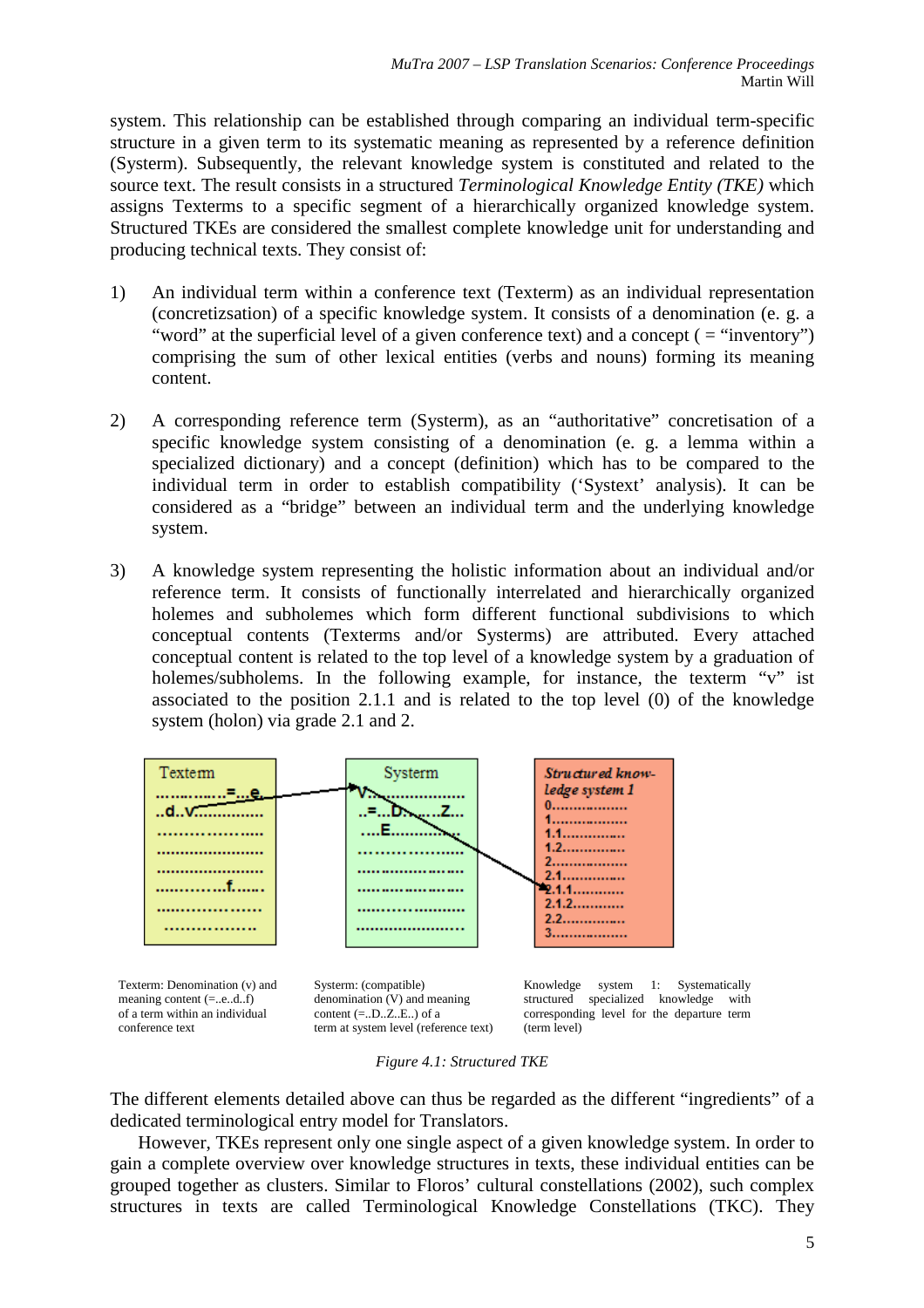system. This relationship can be established through comparing an individual term-specific structure in a given term to its systematic meaning as represented by a reference definition (Systerm). Subsequently, the relevant knowledge system is constituted and related to the source text. The result consists in a structured *Terminological Knowledge Entity (TKE)* which assigns Texterms to a specific segment of a hierarchically organized knowledge system. Structured TKEs are considered the smallest complete knowledge unit for understanding and producing technical texts. They consist of:

- 1) An individual term within a conference text (Texterm) as an individual representation (concretizsation) of a specific knowledge system. It consists of a denomination (e. g. a "word" at the superficial level of a given conference text) and a concept ( = "inventory") comprising the sum of other lexical entities (verbs and nouns) forming its meaning content.
- 2) A corresponding reference term (Systerm), as an "authoritative" concretisation of a specific knowledge system consisting of a denomination (e. g. a lemma within a specialized dictionary) and a concept (definition) which has to be compared to the individual term in order to establish compatibility ('Systext' analysis). It can be considered as a "bridge" between an individual term and the underlying knowledge system.
- 3) A knowledge system representing the holistic information about an individual and/or reference term. It consists of functionally interrelated and hierarchically organized holemes and subholemes which form different functional subdivisions to which conceptual contents (Texterms and/or Systerms) are attributed. Every attached conceptual content is related to the top level of a knowledge system by a graduation of holemes/subholems. In the following example, for instance, the texterm "v" ist associated to the position 2.1.1 and is related to the top level (0) of the knowledge system (holon) via grade 2.1 and 2.



Texterm: Denomination (v) and meaning content (=..e..d..f) of a term within an individual conference text

Systerm: (compatible) denomination (V) and meaning content  $(=.D.Z.E.)$  of a term at system level (reference text)



*Figure 4.1: Structured TKE* 

The different elements detailed above can thus be regarded as the different "ingredients" of a dedicated terminological entry model for Translators.

However, TKEs represent only one single aspect of a given knowledge system. In order to gain a complete overview over knowledge structures in texts, these individual entities can be grouped together as clusters. Similar to Floros' cultural constellations (2002), such complex structures in texts are called Terminological Knowledge Constellations (TKC). They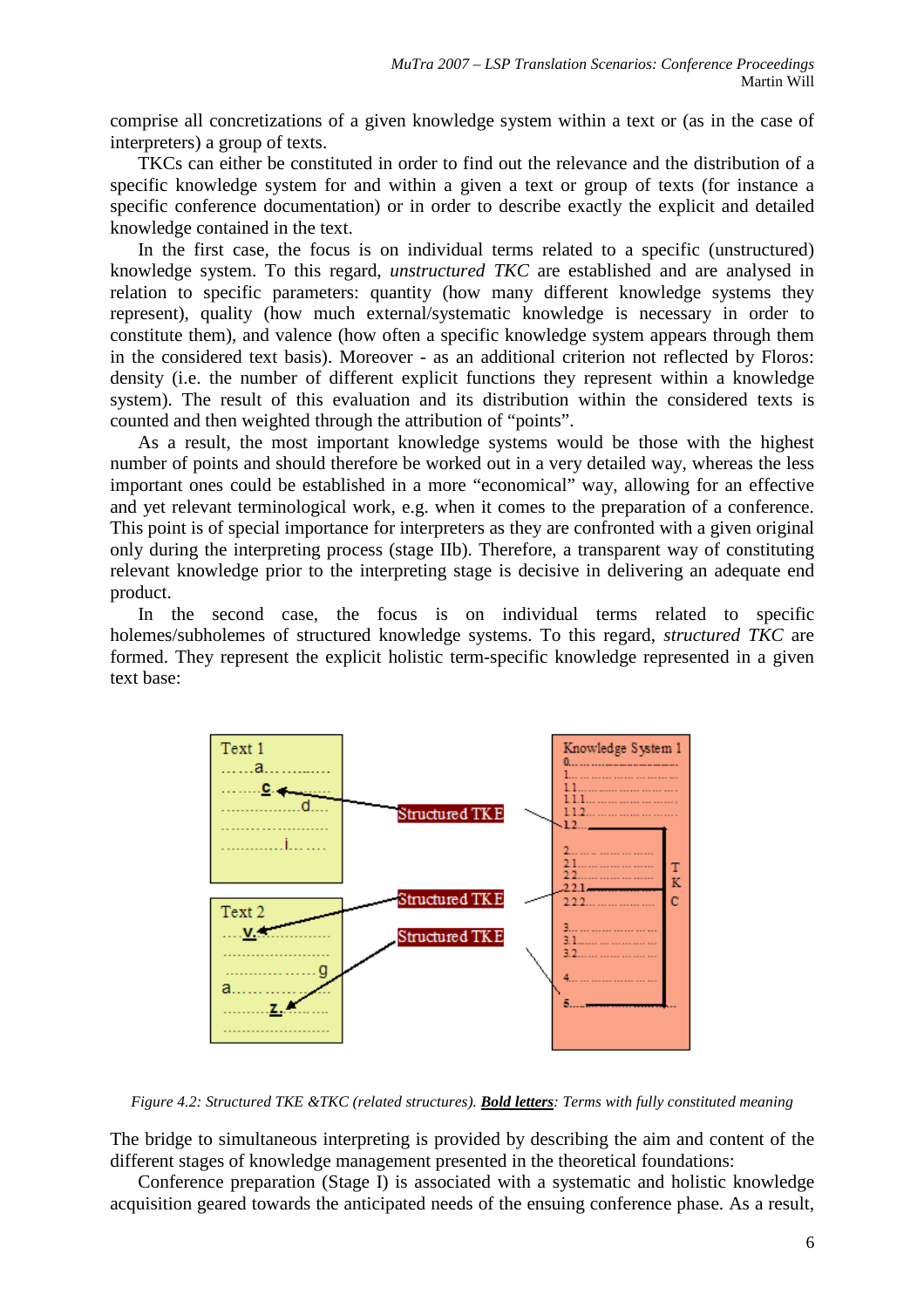comprise all concretizations of a given knowledge system within a text or (as in the case of interpreters) a group of texts.

TKCs can either be constituted in order to find out the relevance and the distribution of a specific knowledge system for and within a given a text or group of texts (for instance a specific conference documentation) or in order to describe exactly the explicit and detailed knowledge contained in the text.

In the first case, the focus is on individual terms related to a specific (unstructured) knowledge system. To this regard, *unstructured TKC* are established and are analysed in relation to specific parameters: quantity (how many different knowledge systems they represent), quality (how much external/systematic knowledge is necessary in order to constitute them), and valence (how often a specific knowledge system appears through them in the considered text basis). Moreover - as an additional criterion not reflected by Floros: density (i.e. the number of different explicit functions they represent within a knowledge system). The result of this evaluation and its distribution within the considered texts is counted and then weighted through the attribution of "points".

As a result, the most important knowledge systems would be those with the highest number of points and should therefore be worked out in a very detailed way, whereas the less important ones could be established in a more "economical" way, allowing for an effective and yet relevant terminological work, e.g. when it comes to the preparation of a conference. This point is of special importance for interpreters as they are confronted with a given original only during the interpreting process (stage IIb). Therefore, a transparent way of constituting relevant knowledge prior to the interpreting stage is decisive in delivering an adequate end product.

In the second case, the focus is on individual terms related to specific holemes/subholemes of structured knowledge systems. To this regard, *structured TKC* are formed. They represent the explicit holistic term-specific knowledge represented in a given text base:



*Figure 4.2: Structured TKE &TKC (related structures). Bold letters: Terms with fully constituted meaning* 

The bridge to simultaneous interpreting is provided by describing the aim and content of the different stages of knowledge management presented in the theoretical foundations:

Conference preparation (Stage I) is associated with a systematic and holistic knowledge acquisition geared towards the anticipated needs of the ensuing conference phase. As a result,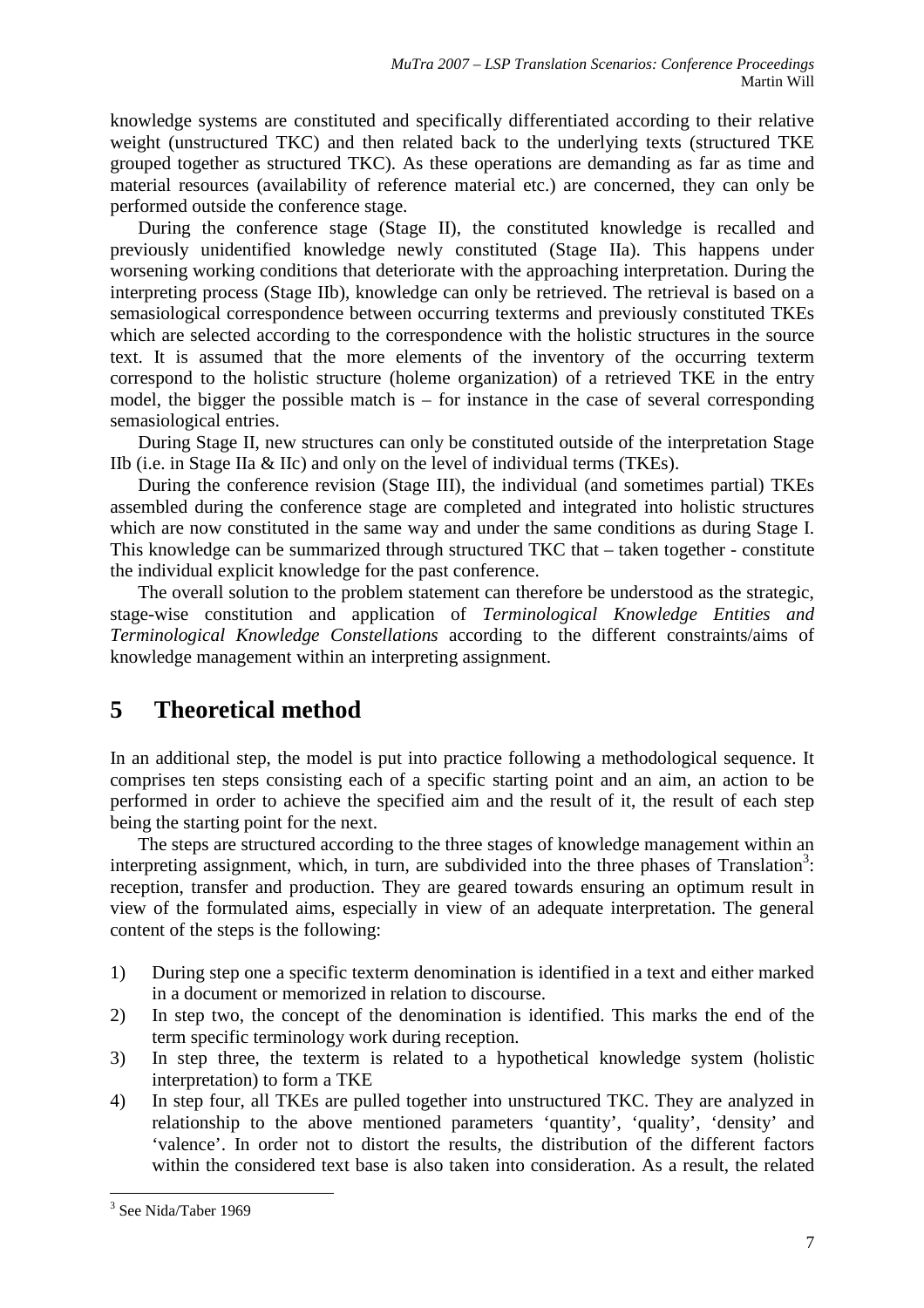knowledge systems are constituted and specifically differentiated according to their relative weight (unstructured TKC) and then related back to the underlying texts (structured TKE grouped together as structured TKC). As these operations are demanding as far as time and material resources (availability of reference material etc.) are concerned, they can only be performed outside the conference stage.

During the conference stage (Stage II), the constituted knowledge is recalled and previously unidentified knowledge newly constituted (Stage IIa). This happens under worsening working conditions that deteriorate with the approaching interpretation. During the interpreting process (Stage IIb), knowledge can only be retrieved. The retrieval is based on a semasiological correspondence between occurring texterms and previously constituted TKEs which are selected according to the correspondence with the holistic structures in the source text. It is assumed that the more elements of the inventory of the occurring texterm correspond to the holistic structure (holeme organization) of a retrieved TKE in the entry model, the bigger the possible match is – for instance in the case of several corresponding semasiological entries.

During Stage II, new structures can only be constituted outside of the interpretation Stage IIb (i.e. in Stage IIa & IIc) and only on the level of individual terms (TKEs).

During the conference revision (Stage III), the individual (and sometimes partial) TKEs assembled during the conference stage are completed and integrated into holistic structures which are now constituted in the same way and under the same conditions as during Stage I. This knowledge can be summarized through structured TKC that – taken together - constitute the individual explicit knowledge for the past conference.

The overall solution to the problem statement can therefore be understood as the strategic, stage-wise constitution and application of *Terminological Knowledge Entities and Terminological Knowledge Constellations* according to the different constraints/aims of knowledge management within an interpreting assignment.

# **5 Theoretical method**

In an additional step, the model is put into practice following a methodological sequence. It comprises ten steps consisting each of a specific starting point and an aim, an action to be performed in order to achieve the specified aim and the result of it, the result of each step being the starting point for the next.

The steps are structured according to the three stages of knowledge management within an interpreting assignment, which, in turn, are subdivided into the three phases of Translation<sup>3</sup>: reception, transfer and production. They are geared towards ensuring an optimum result in view of the formulated aims, especially in view of an adequate interpretation. The general content of the steps is the following:

- 1) During step one a specific texterm denomination is identified in a text and either marked in a document or memorized in relation to discourse.
- 2) In step two, the concept of the denomination is identified. This marks the end of the term specific terminology work during reception.
- 3) In step three, the texterm is related to a hypothetical knowledge system (holistic interpretation) to form a TKE
- 4) In step four, all TKEs are pulled together into unstructured TKC. They are analyzed in relationship to the above mentioned parameters 'quantity', 'quality', 'density' and 'valence'. In order not to distort the results, the distribution of the different factors within the considered text base is also taken into consideration. As a result, the related

 $\overline{a}$ 

<sup>&</sup>lt;sup>3</sup> See Nida/Taber 1969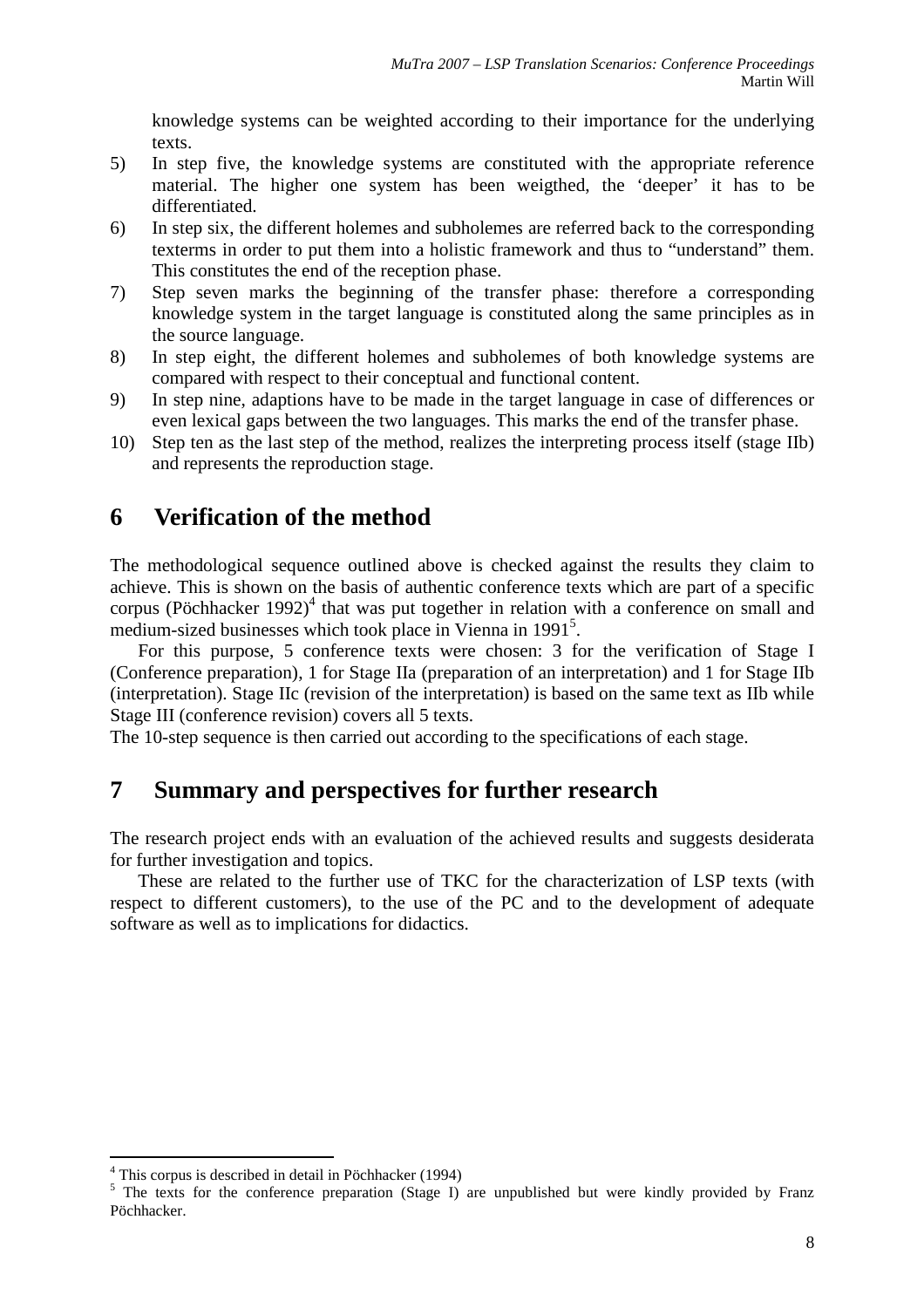knowledge systems can be weighted according to their importance for the underlying texts.

- 5) In step five, the knowledge systems are constituted with the appropriate reference material. The higher one system has been weigthed, the 'deeper' it has to be differentiated.
- 6) In step six, the different holemes and subholemes are referred back to the corresponding texterms in order to put them into a holistic framework and thus to "understand" them. This constitutes the end of the reception phase.
- 7) Step seven marks the beginning of the transfer phase: therefore a corresponding knowledge system in the target language is constituted along the same principles as in the source language.
- 8) In step eight, the different holemes and subholemes of both knowledge systems are compared with respect to their conceptual and functional content.
- 9) In step nine, adaptions have to be made in the target language in case of differences or even lexical gaps between the two languages. This marks the end of the transfer phase.
- 10) Step ten as the last step of the method, realizes the interpreting process itself (stage IIb) and represents the reproduction stage.

# **6 Verification of the method**

The methodological sequence outlined above is checked against the results they claim to achieve. This is shown on the basis of authentic conference texts which are part of a specific corpus (Pöchhacker 1992)<sup>4</sup> that was put together in relation with a conference on small and medium-sized businesses which took place in Vienna in 1991<sup>5</sup>.

For this purpose, 5 conference texts were chosen: 3 for the verification of Stage I (Conference preparation), 1 for Stage IIa (preparation of an interpretation) and 1 for Stage IIb (interpretation). Stage IIc (revision of the interpretation) is based on the same text as IIb while Stage III (conference revision) covers all 5 texts.

The 10-step sequence is then carried out according to the specifications of each stage.

## **7 Summary and perspectives for further research**

The research project ends with an evaluation of the achieved results and suggests desiderata for further investigation and topics.

These are related to the further use of TKC for the characterization of LSP texts (with respect to different customers), to the use of the PC and to the development of adequate software as well as to implications for didactics.

 $\overline{a}$ 

<sup>4</sup> This corpus is described in detail in Pöchhacker (1994)

<sup>&</sup>lt;sup>5</sup> The texts for the conference preparation (Stage I) are unpublished but were kindly provided by Franz Pöchhacker.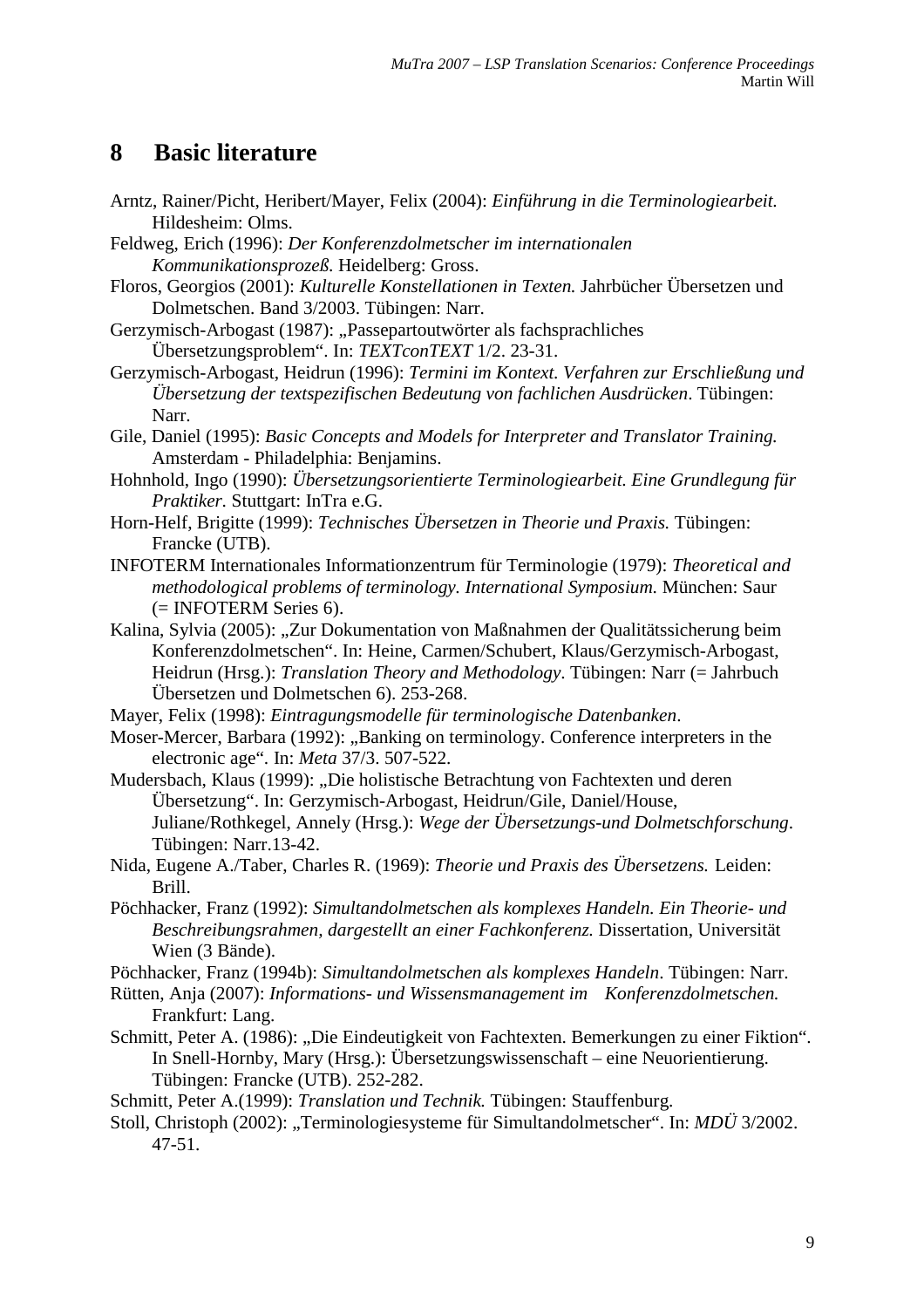## **8 Basic literature**

Arntz, Rainer/Picht, Heribert/Mayer, Felix (2004): *Einführung in die Terminologiearbeit.*  Hildesheim: Olms.

Feldweg, Erich (1996): *Der Konferenzdolmetscher im internationalen Kommunikationsprozeß.* Heidelberg: Gross.

Floros, Georgios (2001): *Kulturelle Konstellationen in Texten.* Jahrbücher Übersetzen und Dolmetschen. Band 3/2003. Tübingen: Narr.

Gerzymisch-Arbogast (1987): "Passepartoutwörter als fachsprachliches Übersetzungsproblem". In: *TEXTconTEXT* 1/2. 23-31.

Gerzymisch-Arbogast, Heidrun (1996): *Termini im Kontext. Verfahren zur Erschließung und Übersetzung der textspezifischen Bedeutung von fachlichen Ausdrücken*. Tübingen: Narr.

Gile, Daniel (1995): *Basic Concepts and Models for Interpreter and Translator Training.* Amsterdam - Philadelphia: Benjamins.

Hohnhold, Ingo (1990): *Übersetzungsorientierte Terminologiearbeit. Eine Grundlegung für Praktiker.* Stuttgart: InTra e.G.

- Horn-Helf, Brigitte (1999): *Technisches Übersetzen in Theorie und Praxis.* Tübingen: Francke (UTB).
- INFOTERM Internationales Informationzentrum für Terminologie (1979): *Theoretical and methodological problems of terminology. International Symposium.* München: Saur (= INFOTERM Series 6).
- Kalina, Sylvia (2005): "Zur Dokumentation von Maßnahmen der Qualitätssicherung beim Konferenzdolmetschen". In: Heine, Carmen/Schubert, Klaus/Gerzymisch-Arbogast, Heidrun (Hrsg.): *Translation Theory and Methodology*. Tübingen: Narr (= Jahrbuch Übersetzen und Dolmetschen 6). 253-268.
- Mayer, Felix (1998): *Eintragungsmodelle für terminologische Datenbanken*.

Moser-Mercer, Barbara (1992): "Banking on terminology. Conference interpreters in the electronic age". In: *Meta* 37/3. 507-522.

Mudersbach, Klaus (1999): "Die holistische Betrachtung von Fachtexten und deren Übersetzung". In: Gerzymisch-Arbogast, Heidrun/Gile, Daniel/House, Juliane/Rothkegel, Annely (Hrsg.): *Wege der Übersetzungs-und Dolmetschforschung*. Tübingen: Narr.13-42.

Nida, Eugene A./Taber, Charles R. (1969): *Theorie und Praxis des Übersetzens.* Leiden: Brill.

Pöchhacker, Franz (1992): *Simultandolmetschen als komplexes Handeln. Ein Theorie- und Beschreibungsrahmen, dargestellt an einer Fachkonferenz.* Dissertation, Universität Wien (3 Bände).

Pöchhacker, Franz (1994b): *Simultandolmetschen als komplexes Handeln*. Tübingen: Narr.

Rütten, Anja (2007): *Informations- und Wissensmanagement im Konferenzdolmetschen.* Frankfurt: Lang.

Schmitt, Peter A. (1986): ..Die Eindeutigkeit von Fachtexten. Bemerkungen zu einer Fiktion". In Snell-Hornby, Mary (Hrsg.): Übersetzungswissenschaft – eine Neuorientierung. Tübingen: Francke (UTB). 252-282.

Schmitt, Peter A.(1999): *Translation und Technik.* Tübingen: Stauffenburg.

Stoll, Christoph (2002): "Terminologiesysteme für Simultandolmetscher". In: *MDÜ* 3/2002. 47-51.